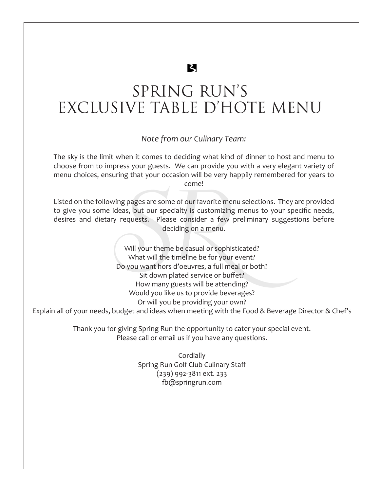# **Z**

# SPRING RUN'S EXCLUSIVE TABLE D'HOTE MENU

### *Note from our Culinary Team:*

The sky is the limit when it comes to deciding what kind of dinner to host and menu to choose from to impress your guests. We can provide you with a very elegant variety of menu choices, ensuring that your occasion will be very happily remembered for years to come!

Listed on the following pages are some of our favorite menu selections. They are provided to give you some ideas, but our specialty is customizing menus to your specific needs, desires and dietary requests. Please consider a few preliminary suggestions before deciding on a menu.

come!<br>
ing pages are some of our favorite me<br>
deas, but our specialty is customizing<br>
y requests. Please consider a few<br>
deciding on a menu.<br>
Will your theme be casual or sophi:<br>
What will the timeline be for your<br>
Do you Will your theme be casual or sophisticated? What will the timeline be for your event? Do you want hors d'oeuvres, a full meal or both? Sit down plated service or buffet? How many guests will be attending? Would you like us to provide beverages? Or will you be providing your own?

Explain all of your needs, budget and ideas when meeting with the Food & Beverage Director & Chef's

Thank you for giving Spring Run the opportunity to cater your special event. Please call or email us if you have any questions.

> **Cordially** Spring Run Golf Club Culinary Staff (239) 992-3811 ext. 233 fb@springrun.com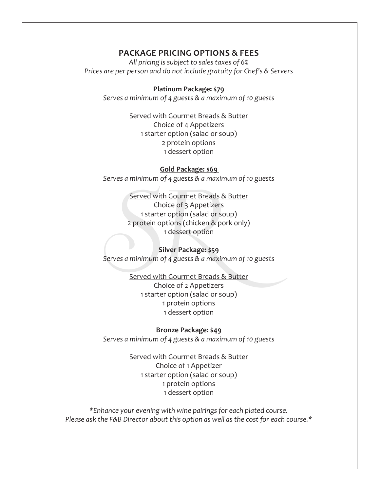#### **PACKAGE PRICING OPTIONS & FEES**

*All pricing is subject to sales taxes of 6% Prices are per person and do not include gratuity for Chef's & Servers*

#### **Platinum Package: \$79**

*Serves a minimum of 4 guests & a maximum of 10 guests*

Served with Gourmet Breads & Butter Choice of 4 Appetizers 1 starter option (salad or soup) 2 protein options 1 dessert option

#### **Gold Package: \$69**

*Serves a minimum of 4 guests & a maximum of 10 guests*

Served with Gourmet Breads &<br>
Choice of 3 Appetizers<br>
1 starter option (salad or so<br>
2 protein options (chicken & p<br>
1 dessert option<br>
Silver Package: \$59<br>
Serves a minimum of 4 guests & a maxin<br>
Served with Gourmet Breads Served with Gourmet Breads & Butter Choice of 3 Appetizers 1 starter option (salad or soup) 2 protein options (chicken & pork only) 1 dessert option

#### **Silver Package: \$59**

*Serves a minimum of 4 guests & a maximum of 10 guests*

Served with Gourmet Breads & Butter Choice of 2 Appetizers 1 starter option (salad or soup) 1 protein options 1 dessert option

#### **Bronze Package: \$49**

*Serves a minimum of 4 guests & a maximum of 10 guests*

Served with Gourmet Breads & Butter Choice of 1 Appetizer 1 starter option (salad or soup) 1 protein options 1 dessert option

*\*Enhance your evening with wine pairings for each plated course. Please ask the F&B Director about this option as well as the cost for each course.\**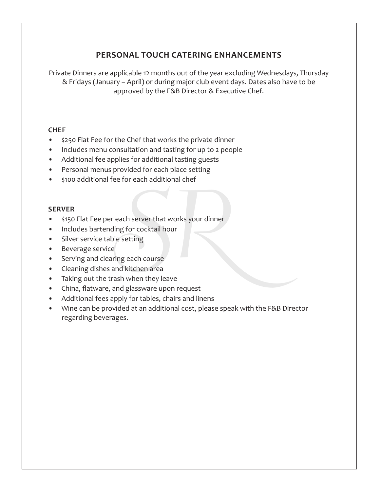## **PERSONAL TOUCH CATERING ENHANCEMENTS**

Private Dinners are applicable 12 months out of the year excluding Wednesdays, Thursday & Fridays (January – April) or during major club event days. Dates also have to be approved by the F&B Director & Executive Chef.

#### **CHEF**

- \$250 Flat Fee for the Chef that works the private dinner
- Includes menu consultation and tasting for up to 2 people
- Additional fee applies for additional tasting guests
- Personal menus provided for each place setting
- \$100 additional fee for each additional chef

#### **SERVER**

- each server that works your dinner<br>
ing for cocktail hour<br>
le setting<br>
:<br>
ing each course<br>
and kitchen area<br>
ash when they leave<br>
and glassware upon request<br>
pply for tables, chairs and linens • \$150 Flat Fee per each server that works your dinner
- Includes bartending for cocktail hour
- Silver service table setting
- Beverage service
- Serving and clearing each course
- Cleaning dishes and kitchen area
- Taking out the trash when they leave
- China, flatware, and glassware upon request
- Additional fees apply for tables, chairs and linens
- Wine can be provided at an additional cost, please speak with the F&B Director regarding beverages.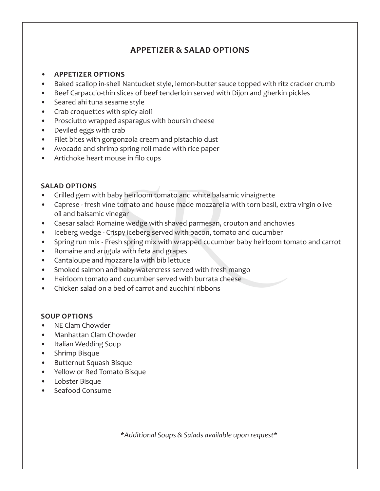## **APPETIZER & SALAD OPTIONS**

- **• APPETIZER OPTIONS**
- Baked scallop in-shell Nantucket style, lemon-butter sauce topped with ritz cracker crumb
- Beef Carpaccio-thin slices of beef tenderloin served with Dijon and gherkin pickles
- Seared ahi tuna sesame style
- Crab croquettes with spicy aioli
- Prosciutto wrapped asparagus with boursin cheese
- Deviled eggs with crab
- Filet bites with gorgonzola cream and pistachio dust
- Avocado and shrimp spring roll made with rice paper
- Artichoke heart mouse in filo cups

### **SALAD OPTIONS**

- Grilled gem with baby heirloom tomato and white balsamic vinaigrette
- I baby heirloom tomato and white bals<br>
vine tomato and house made mozzare<br>
vinegar<br>
simaine wedge with shaved parmesan,<br>
Crispy iceberg served with bacon, ton<br>
Fresh spring mix with wrapped cucum<br>
ugula with feta and grape • Caprese - fresh vine tomato and house made mozzarella with torn basil, extra virgin olive oil and balsamic vinegar
- Caesar salad: Romaine wedge with shaved parmesan, crouton and anchovies
- Iceberg wedge Crispy iceberg served with bacon, tomato and cucumber
- Spring run mix Fresh spring mix with wrapped cucumber baby heirloom tomato and carrot
- Romaine and arugula with feta and grapes
- Cantaloupe and mozzarella with bib lettuce
- Smoked salmon and baby watercress served with fresh mango
- Heirloom tomato and cucumber served with burrata cheese
- Chicken salad on a bed of carrot and zucchini ribbons

#### **SOUP OPTIONS**

- NE Clam Chowder
- Manhattan Clam Chowder
- Italian Wedding Soup
- Shrimp Bisque
- Butternut Squash Bisque
- Yellow or Red Tomato Bisque
- Lobster Bisque
- Seafood Consume

*\*Additional Soups & Salads available upon request\**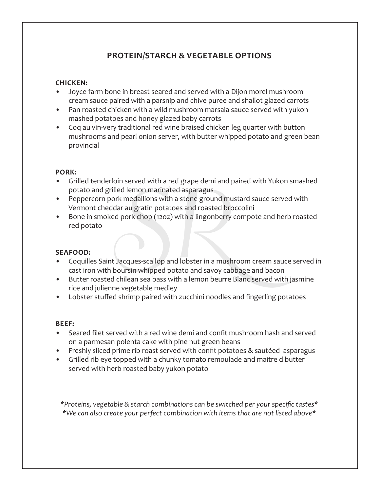## **PROTEIN/STARCH & VEGETABLE OPTIONS**

#### **CHICKEN:**

- Joyce farm bone in breast seared and served with a Dijon morel mushroom cream sauce paired with a parsnip and chive puree and shallot glazed carrots
- Pan roasted chicken with a wild mushroom marsala sauce served with yukon mashed potatoes and honey glazed baby carrots
- Coq au vin-very traditional red wine braised chicken leg quarter with button mushrooms and pearl onion server, with butter whipped potato and green bean provincial

#### **PORK:**

- Grilled tenderloin served with a red grape demi and paired with Yukon smashed potato and grilled lemon marinated asparagus
- Peppercorn pork medallions with a stone ground mustard sauce served with Vermont cheddar au gratin potatoes and roasted broccolini
- Bone in smoked pork chop (12oz) with a lingonberry compote and herb roasted red potato

## **SEAFOOD:**

- *SRIFT SERVED WIRT aTCD grape definiting*<br>Jed lemon marinated asparagus<br>ork medallions with a stone ground mudar au gratin potatoes and roasted bro<br>d pork chop (12oz) with a lingonberry<br>Dacques-scallop and lobster in a mus • Coquilles Saint Jacques-scallop and lobster in a mushroom cream sauce served in cast iron with boursin whipped potato and savoy cabbage and bacon
- Butter roasted chilean sea bass with a lemon beurre Blanc served with jasmine rice and julienne vegetable medley
- Lobster stuffed shrimp paired with zucchini noodles and fingerling potatoes

#### **BEEF:**

- Seared filet served with a red wine demi and confit mushroom hash and served on a parmesan polenta cake with pine nut green beans
- Freshly sliced prime rib roast served with confit potatoes & sautéed asparagus
- Grilled rib eye topped with a chunky tomato remoulade and maitre d butter served with herb roasted baby yukon potato

*\*Proteins, vegetable & starch combinations can be switched per your specific tastes\* \*We can also create your perfect combination with items that are not listed above\**